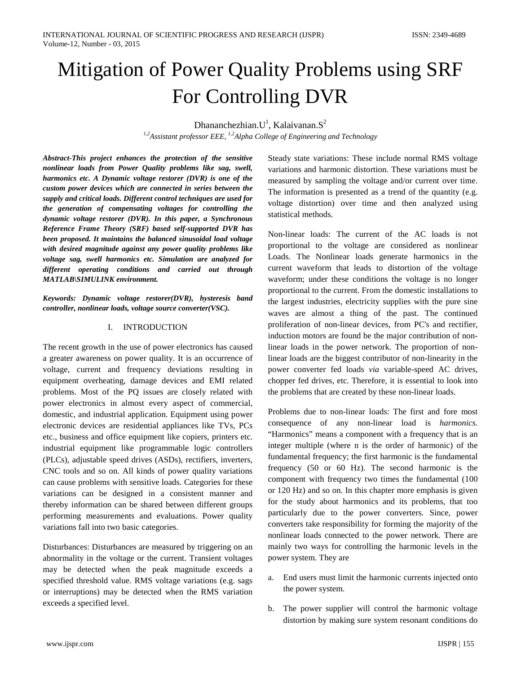# Mitigation of Power Quality Problems using SRF For Controlling DVR

Dhananchezhian. $U^1$ , Kalaivanan. $S^2$ 

*1,2Assistant professor EEE, 1,2Alpha College of Engineering and Technology*

*Abstract-This project enhances the protection of the sensitive nonlinear loads from Power Quality problems like sag, swell, harmonics etc. A Dynamic voltage restorer (DVR) is one of the custom power devices which are connected in series between the supply and critical loads. Different control techniques are used for the generation of compensating voltages for controlling the dynamic voltage restorer (DVR). In this paper, a Synchronous Reference Frame Theory (SRF) based self-supported DVR has been proposed. It maintains the balanced sinusoidal load voltage with desired magnitude against any power quality problems like voltage sag, swell harmonics etc. Simulation are analyzed for different operating conditions and carried out through MATLAB\SIMULINK environment.*

*Keywords: Dynamic voltage restorer(DVR), hysteresis band controller, nonlinear loads, voltage source converter(VSC).*

# I. INTRODUCTION

The recent growth in the use of power electronics has caused a greater awareness on power quality. It is an occurrence of voltage, current and frequency deviations resulting in equipment overheating, damage devices and EMI related problems. Most of the PQ issues are closely related with power electronics in almost every aspect of commercial, domestic, and industrial application. Equipment using power electronic devices are residential appliances like TVs, PCs etc., business and office equipment like copiers, printers etc. industrial equipment like programmable logic controllers (PLCs), adjustable speed drives (ASDs), rectifiers, inverters, CNC tools and so on. All kinds of power quality variations can cause problems with sensitive loads. Categories for these variations can be designed in a consistent manner and thereby information can be shared between different groups performing measurements and evaluations. Power quality variations fall into two basic categories.

Disturbances: Disturbances are measured by triggering on an abnormality in the voltage or the current. Transient voltages may be detected when the peak magnitude exceeds a specified threshold value. RMS voltage variations (e.g. sags or interruptions) may be detected when the RMS variation exceeds a specified level.

Steady state variations: These include normal RMS voltage variations and harmonic distortion. These variations must be measured by sampling the voltage and/or current over time. The information is presented as a trend of the quantity (e.g. voltage distortion) over time and then analyzed using statistical methods.

Non-linear loads: The current of the AC loads is not proportional to the voltage are considered as nonlinear Loads. The Nonlinear loads generate harmonics in the current waveform that leads to distortion of the voltage waveform; under these conditions the voltage is no longer proportional to the current. From the domestic installations to the largest industries, electricity supplies with the pure sine waves are almost a thing of the past. The continued proliferation of non-linear devices, from PC's and rectifier, induction motors are found be the major contribution of nonlinear loads in the power network. The proportion of nonlinear loads are the biggest contributor of non-linearity in the power converter fed loads *via* variable-speed AC drives, chopper fed drives, etc. Therefore, it is essential to look into the problems that are created by these non-linear loads.

Problems due to non-linear loads: The first and fore most consequence of any non-linear load is *harmonics.* "Harmonics" means a component with a frequency that is an integer multiple (where n is the order of harmonic) of the fundamental frequency; the first harmonic is the fundamental frequency (50 or 60 Hz). The second harmonic is the component with frequency two times the fundamental (100 or 120 Hz) and so on. In this chapter more emphasis is given for the study about harmonics and its problems, that too particularly due to the power converters. Since, power converters take responsibility for forming the majority of the nonlinear loads connected to the power network. There are mainly two ways for controlling the harmonic levels in the power system. They are

- a. End users must limit the harmonic currents injected onto the power system.
- b. The power supplier will control the harmonic voltage distortion by making sure system resonant conditions do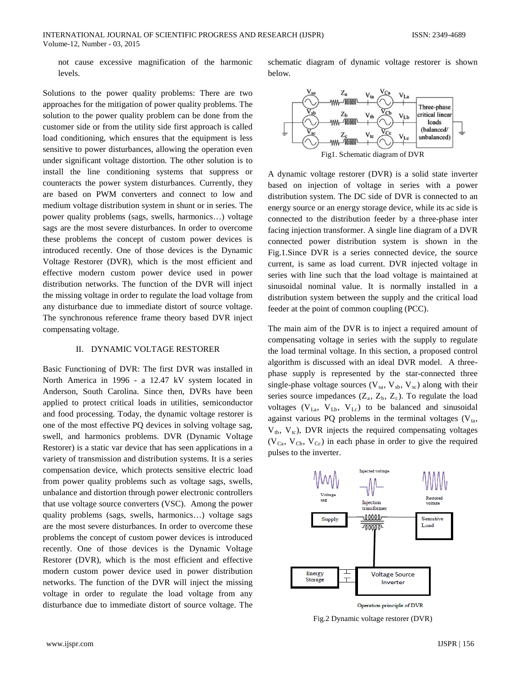not cause excessive magnification of the harmonic levels.

Solutions to the power quality problems: There are two approaches for the mitigation of power quality problems. The solution to the power quality problem can be done from the customer side or from the utility side first approach is called load conditioning, which ensures that the equipment is less sensitive to power disturbances, allowing the operation even under significant voltage distortion. The other solution is to install the line conditioning systems that suppress or counteracts the power system disturbances. Currently, they are based on PWM converters and connect to low and medium voltage distribution system in shunt or in series. The power quality problems (sags, swells, harmonics…) voltage sags are the most severe disturbances. In order to overcome these problems the concept of custom power devices is introduced recently. One of those devices is the Dynamic Voltage Restorer (DVR), which is the most efficient and effective modern custom power device used in power distribution networks. The function of the DVR will inject the missing voltage in order to regulate the load voltage from any disturbance due to immediate distort of source voltage. The synchronous reference frame theory based DVR inject compensating voltage.

## II. DYNAMIC VOLTAGE RESTORER

Basic Functioning of DVR: The first DVR was installed in North America in 1996 - a 12.47 kV system located in Anderson, South Carolina. Since then, DVRs have been applied to protect critical loads in utilities, semiconductor and food processing. Today, the dynamic voltage restorer is one of the most effective PQ devices in solving voltage sag, swell, and harmonics problems. DVR (Dynamic Voltage Restorer) is a static var device that has seen applications in a variety of transmission and distribution systems. It is a series compensation device, which protects sensitive electric load from power quality problems such as voltage sags, swells, unbalance and distortion through power electronic controllers that use voltage source converters (VSC). Among the power quality problems (sags, swells, harmonics…) voltage sags are the most severe disturbances. In order to overcome these problems the concept of custom power devices is introduced recently. One of those devices is the Dynamic Voltage Restorer (DVR), which is the most efficient and effective modern custom power device used in power distribution networks. The function of the DVR will inject the missing voltage in order to regulate the load voltage from any disturbance due to immediate distort of source voltage. The

schematic diagram of dynamic voltage restorer is shown below.



A dynamic voltage restorer (DVR) is a solid state inverter based on injection of voltage in series with a power distribution system. The DC side of DVR is connected to an energy source or an energy storage device, while its ac side is connected to the distribution feeder by a three-phase inter facing injection transformer. A single line diagram of a DVR connected power distribution system is shown in the Fig.1.Since DVR is a series connected device, the source current, is same as load current. DVR injected voltage in series with line such that the load voltage is maintained at sinusoidal nominal value. It is normally installed in a distribution system between the supply and the critical load feeder at the point of common coupling (PCC).

The main aim of the DVR is to inject a required amount of compensating voltage in series with the supply to regulate the load terminal voltage. In this section, a proposed control algorithm is discussed with an ideal DVR model. A threephase supply is represented by the star-connected three single-phase voltage sources ( $V_{sa}$ ,  $V_{sb}$ ,  $V_{sc}$ ) along with their series source impedances  $(Z_a, Z_b, Z_c)$ . To regulate the load voltages ( $V_{La}$ ,  $V_{Lb}$ ,  $V_{Lc}$ ) to be balanced and sinusoidal against various PQ problems in the terminal voltages  $(V_{ta},$  $V_{tb}$ ,  $V_{tc}$ ), DVR injects the required compensating voltages  $(V_{Ca}, V_{Cb}, V_{Cc})$  in each phase in order to give the required pulses to the inverter.



Fig.2 Dynamic voltage restorer (DVR)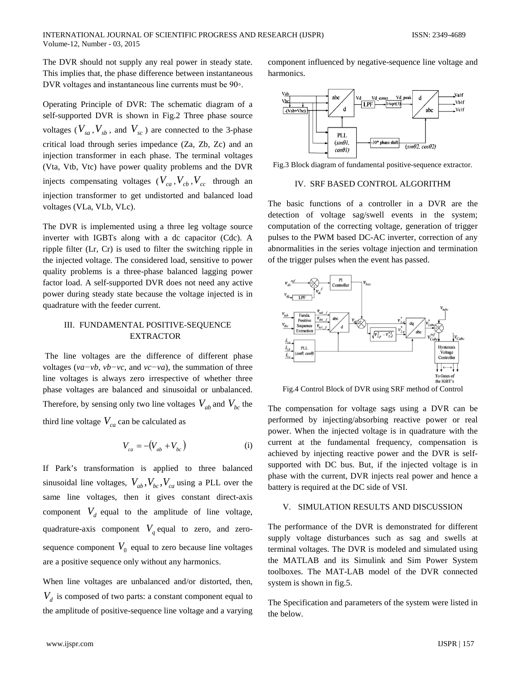The DVR should not supply any real power in steady state. This implies that, the phase difference between instantaneous DVR voltages and instantaneous line currents must be 90◦.

Operating Principle of DVR: The schematic diagram of a self-supported DVR is shown in Fig.2 Three phase source voltages ( $V_{sa}$ ,  $V_{sb}$ , and  $V_{sc}$ ) are connected to the 3-phase critical load through series impedance (Za, Zb, Zc) and an injection transformer in each phase. The terminal voltages (Vta, Vtb, Vtc) have power quality problems and the DVR injects compensating voltages  $(V_{ca}, V_{cb}, V_{cc}$  through an injection transformer to get undistorted and balanced load voltages (VLa, VLb, VLc).

The DVR is implemented using a three leg voltage source inverter with IGBTs along with a dc capacitor (Cdc). A ripple filter (Lr, Cr) is used to filter the switching ripple in the injected voltage. The considered load, sensitive to power quality problems is a three-phase balanced lagging power factor load. A self-supported DVR does not need any active power during steady state because the voltage injected is in quadrature with the feeder current.

# III. FUNDAMENTAL POSITIVE-SEQUENCE EXTRACTOR

The line voltages are the difference of different phase voltages (*va−vb*, *vb−vc*, and *vc−va*), the summation of three line voltages is always zero irrespective of whether three phase voltages are balanced and sinusoidal or unbalanced. Therefore, by sensing only two line voltages  $V_{ab}$  and  $V_{bc}$  the third line voltage  $V_{ca}$  can be calculated as

$$
V_{ca} = -(V_{ab} + V_{bc})
$$
 (i)

If Park's transformation is applied to three balanced sinusoidal line voltages,  $V_{ab}$ ,  $V_{bc}$ ,  $V_{ca}$  using a PLL over the same line voltages, then it gives constant direct-axis component  $V_d$  equal to the amplitude of line voltage, quadrature-axis component  $V<sub>a</sub>$  equal to zero, and zerosequence component  $V_0$  equal to zero because line voltages are a positive sequence only without any harmonics.

When line voltages are unbalanced and/or distorted, then,  $V<sub>d</sub>$  is composed of two parts: a constant component equal to the amplitude of positive-sequence line voltage and a varying component influenced by negative-sequence line voltage and harmonics.



Fig.3 Block diagram of fundamental positive-sequence extractor.

#### IV. SRF BASED CONTROL ALGORITHM

The basic functions of a controller in a DVR are the detection of voltage sag/swell events in the system; computation of the correcting voltage, generation of trigger pulses to the PWM based DC-AC inverter, correction of any abnormalities in the series voltage injection and termination of the trigger pulses when the event has passed.



Fig.4 Control Block of DVR using SRF method of Control

The compensation for voltage sags using a DVR can be performed by injecting/absorbing reactive power or real power. When the injected voltage is in quadrature with the current at the fundamental frequency, compensation is achieved by injecting reactive power and the DVR is selfsupported with DC bus. But, if the injected voltage is in phase with the current, DVR injects real power and hence a battery is required at the DC side of VSI.

## V. SIMULATION RESULTS AND DISCUSSION

The performance of the DVR is demonstrated for different supply voltage disturbances such as sag and swells at terminal voltages. The DVR is modeled and simulated using the MATLAB and its Simulink and Sim Power System toolboxes. The MAT-LAB model of the DVR connected system is shown in fig.5.

The Specification and parameters of the system were listed in the below.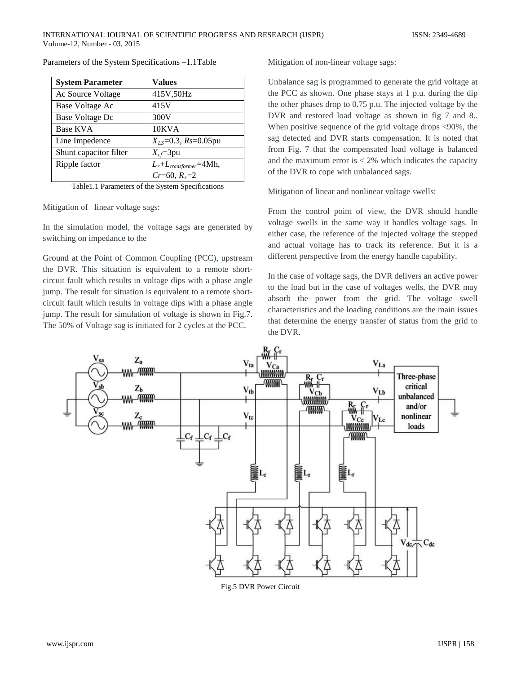| <b>System Parameter</b> | <b>Values</b>                   |
|-------------------------|---------------------------------|
| Ac Source Voltage       | 415V,50Hz                       |
| Base Voltage Ac         | 415V                            |
| Base Voltage Dc         | 300V                            |
| <b>Base KVA</b>         | 10KVA                           |
| Line Impedence          | $X_{LS} = 0.3$ , $Rs = 0.05$ pu |
| Shunt capacitor filter  | $X_{cf} = 3pu$                  |
| Ripple factor           | $L_r + L_{transformer} = 4Mh,$  |
|                         | $Cr=60, R_r=2$                  |

Parameters of the System Specifications –1.1Table

Table1.1 Parameters of the System Specifications

Mitigation of linear voltage sags:

In the simulation model, the voltage sags are generated by switching on impedance to the

Ground at the Point of Common Coupling (PCC), upstream the DVR. This situation is equivalent to a remote shortcircuit fault which results in voltage dips with a phase angle jump. The result for situation is equivalent to a remote shortcircuit fault which results in voltage dips with a phase angle jump. The result for simulation of voltage is shown in Fig.7. The 50% of Voltage sag is initiated for 2 cycles at the PCC.

Mitigation of non-linear voltage sags:

Unbalance sag is programmed to generate the grid voltage at the PCC as shown. One phase stays at 1 p.u. during the dip the other phases drop to 0.75 p.u. The injected voltage by the DVR and restored load voltage as shown in fig 7 and 8.. When positive sequence of the grid voltage drops <90%, the sag detected and DVR starts compensation. It is noted that from Fig. 7 that the compensated load voltage is balanced and the maximum error is  $< 2\%$  which indicates the capacity of the DVR to cope with unbalanced sags.

Mitigation of linear and nonlinear voltage swells:

From the control point of view, the DVR should handle voltage swells in the same way it handles voltage sags. In either case, the reference of the injected voltage the stepped and actual voltage has to track its reference. But it is a different perspective from the energy handle capability.

In the case of voltage sags, the DVR delivers an active power to the load but in the case of voltages wells, the DVR may absorb the power from the grid. The voltage swell characteristics and the loading conditions are the main issues that determine the energy transfer of status from the grid to the DVR.



Fig.5 DVR Power Circuit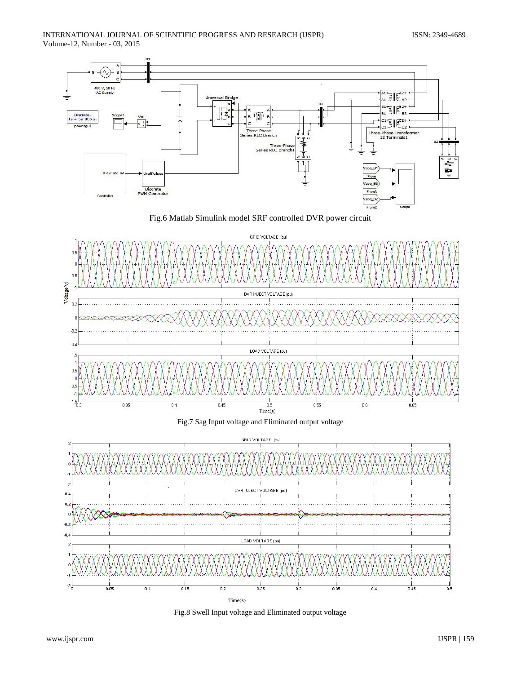









Fig.8 Swell Input voltage and Eliminated output voltage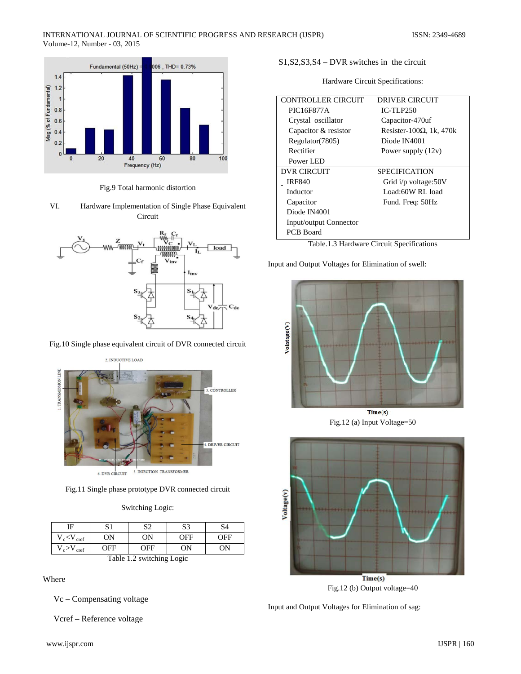

Fig.9 Total harmonic distortion

VI. Hardware Implementation of Single Phase Equivalent Circuit



Fig.10 Single phase equivalent circuit of DVR connected circuit

2. INDUCTIVE LOAD **TRANSMISSION LINE** 3. CONTROLLER 4. DRIVER CIRCUIT 5. INJECTION TRANSFORMER 6. DVR CIRCUIT

Fig.11 Single phase prototype DVR connected circuit

| Switching Logic: |  |  |
|------------------|--|--|
|                  |  |  |

| ΙF                        | S1  | S2  | S <sub>3</sub> | S4  |  |
|---------------------------|-----|-----|----------------|-----|--|
| $V_c$ < $V_{\text{cref}}$ | 0N  | 0N  | OFF            | OFF |  |
| $V_c > V$<br>cref         | OFF | OFF | ON             | OΝ  |  |
| Table 1.2 switching Logic |     |     |                |     |  |

Where

Vc – Compensating voltage

Vcref – Reference voltage

S1,S2,S3,S4 – DVR switches in the circuit

Hardware Circuit Specifications:

| <b>CONTROLLER CIRCUIT</b>     | DRIVER CIRCUIT                   |
|-------------------------------|----------------------------------|
| PIC16F877A                    | $IC-TLP250$                      |
| Crystal oscillator            | Capacitor-470uf                  |
| Capacitor & resistor          | Resister-100 $\Omega$ , 1k, 470k |
| Regulator (7805)              | Diode IN4001                     |
| Rectifier                     | Power supply $(12v)$             |
| Power LED                     |                                  |
| DVR CIRCUIT                   | <b>SPECIFICATION</b>             |
| <b>IRF840</b>                 | Grid i/p voltage:50V             |
| Inductor                      | Load:60W RL load                 |
| Capacitor                     | Fund. Freq: 50Hz                 |
| Diode IN4001                  |                                  |
| <b>Input/output Connector</b> |                                  |
| <b>PCB</b> Board              |                                  |

Table.1.3 Hardware Circuit Specifications

Input and Output Voltages for Elimination of swell:



Fig.12 (a) Input Voltage=50



Input and Output Voltages for Elimination of sag: